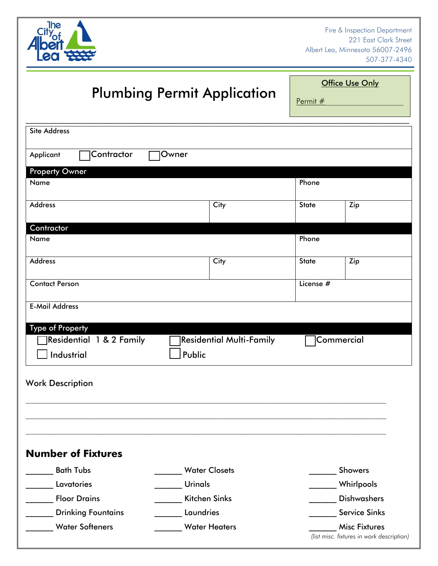

Fire & Inspection Department 221 East Clark Street Albert Lea, Minnesota 56007-2496 507-377-4340

## Plumbing Permit Application

**Office Use Only** 

Permit #

| <b>Site Address</b>       |                                 |              |                                                                   |
|---------------------------|---------------------------------|--------------|-------------------------------------------------------------------|
| Contractor<br>Applicant   | Owner                           |              |                                                                   |
| <b>Property Owner</b>     |                                 |              |                                                                   |
| Name                      |                                 | Phone        |                                                                   |
| <b>Address</b>            | City                            | <b>State</b> | Zip                                                               |
| Contractor                |                                 |              |                                                                   |
| Name                      |                                 | Phone        |                                                                   |
| <b>Address</b>            | $\overline{City}$               | <b>State</b> | Zip                                                               |
| <b>Contact Person</b>     |                                 | License #    |                                                                   |
| <b>E-Mail Address</b>     |                                 |              |                                                                   |
| <b>Type of Property</b>   |                                 |              |                                                                   |
| Residential 1 & 2 Family  | <b>Residential Multi-Family</b> |              | Commercial                                                        |
| Industrial                | Public                          |              |                                                                   |
|                           |                                 |              |                                                                   |
| <b>Work Description</b>   |                                 |              |                                                                   |
|                           |                                 |              |                                                                   |
|                           |                                 |              |                                                                   |
| <b>Number of Fixtures</b> |                                 |              |                                                                   |
| <b>Bath Tubs</b>          | <b>Water Closets</b>            |              | <b>Showers</b>                                                    |
| Lavatories                | <b>Urinals</b>                  |              | Whirlpools                                                        |
| <b>Floor Drains</b>       | <b>Kitchen Sinks</b>            |              | <b>Dishwashers</b>                                                |
| <b>Drinking Fountains</b> | Laundries                       |              | <b>Service Sinks</b>                                              |
| <b>Water Softeners</b>    | <b>Water Heaters</b>            |              | <b>Misc Fixtures</b><br>(list misc. fixtures in work description) |